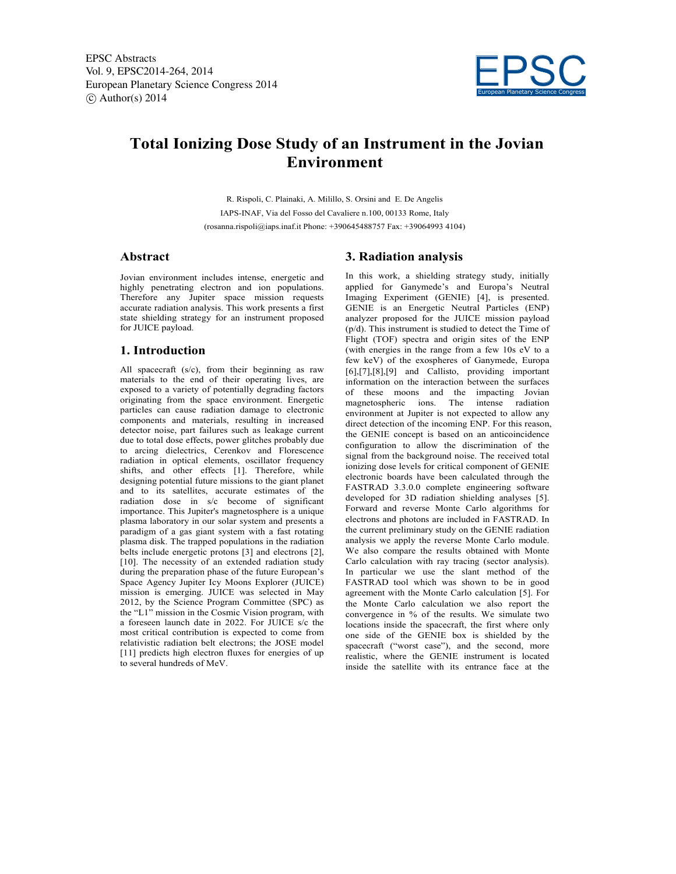

# **Total Ionizing Dose Study of an Instrument in the Jovian Environment**

R. Rispoli, C. Plainaki, A. Milillo, S. Orsini and E. De Angelis IAPS-INAF, Via del Fosso del Cavaliere n.100, 00133 Rome, Italy (rosanna.rispoli@iaps.inaf.it Phone: +390645488757 Fax: +39064993 4104)

## **Abstract**

Jovian environment includes intense, energetic and highly penetrating electron and ion populations. Therefore any Jupiter space mission requests accurate radiation analysis. This work presents a first state shielding strategy for an instrument proposed for JUICE payload.

## **1. Introduction**

All spacecraft (s/c), from their beginning as raw materials to the end of their operating lives, are exposed to a variety of potentially degrading factors originating from the space environment. Energetic particles can cause radiation damage to electronic components and materials, resulting in increased detector noise, part failures such as leakage current due to total dose effects, power glitches probably due to arcing dielectrics, Cerenkov and Florescence radiation in optical elements, oscillator frequency shifts, and other effects [1]. Therefore, while designing potential future missions to the giant planet and to its satellites, accurate estimates of the radiation dose in s/c become of significant importance. This Jupiter's magnetosphere is a unique plasma laboratory in our solar system and presents a paradigm of a gas giant system with a fast rotating plasma disk. The trapped populations in the radiation belts include energetic protons [3] and electrons [2], [10]. The necessity of an extended radiation study during the preparation phase of the future European's Space Agency Jupiter Icy Moons Explorer (JUICE) mission is emerging. JUICE was selected in May 2012, by the Science Program Committee (SPC) as the "L1" mission in the Cosmic Vision program, with a foreseen launch date in 2022. For JUICE s/c the most critical contribution is expected to come from relativistic radiation belt electrons; the JOSE model [11] predicts high electron fluxes for energies of up to several hundreds of MeV.

## **3. Radiation analysis**

In this work, a shielding strategy study, initially applied for Ganymede's and Europa's Neutral Imaging Experiment (GENIE) [4], is presented. GENIE is an Energetic Neutral Particles (ENP) analyzer proposed for the JUICE mission payload (p/d). This instrument is studied to detect the Time of Flight (TOF) spectra and origin sites of the ENP (with energies in the range from a few 10s eV to a few keV) of the exospheres of Ganymede, Europa [6],[7],[8],[9] and Callisto, providing important information on the interaction between the surfaces of these moons and the impacting Jovian magnetospheric ions. The intense radiation environment at Jupiter is not expected to allow any direct detection of the incoming ENP. For this reason, the GENIE concept is based on an anticoincidence configuration to allow the discrimination of the signal from the background noise. The received total ionizing dose levels for critical component of GENIE electronic boards have been calculated through the FASTRAD 3.3.0.0 complete engineering software developed for 3D radiation shielding analyses [5]. Forward and reverse Monte Carlo algorithms for electrons and photons are included in FASTRAD. In the current preliminary study on the GENIE radiation analysis we apply the reverse Monte Carlo module. We also compare the results obtained with Monte Carlo calculation with ray tracing (sector analysis). In particular we use the slant method of the FASTRAD tool which was shown to be in good agreement with the Monte Carlo calculation [5]. For the Monte Carlo calculation we also report the convergence in % of the results. We simulate two locations inside the spacecraft, the first where only one side of the GENIE box is shielded by the spacecraft ("worst case"), and the second, more realistic, where the GENIE instrument is located inside the satellite with its entrance face at the